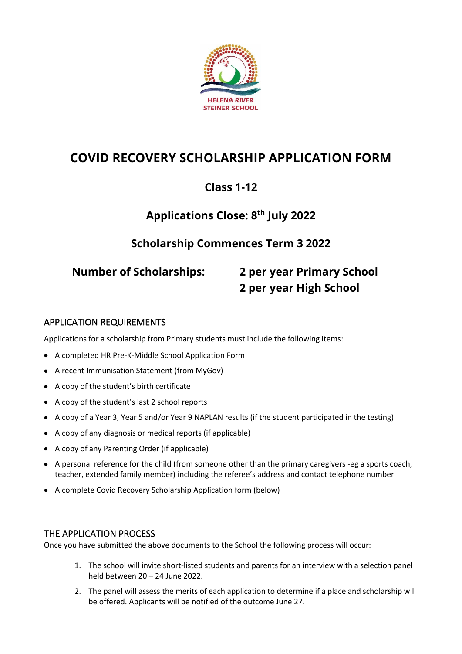

# **COVID RECOVERY SCHOLARSHIP APPLICATION FORM**

# **Class 1-12**

# **Applications Close: 8 th July 2022**

## **Scholarship Commences Term 3 2022**

# **Number of Scholarships: 2 per year Primary School 2 per year High School**

#### APPLICATION REQUIREMENTS

Applications for a scholarship from Primary students must include the following items:

- A completed HR Pre-K-Middle School Application Form
- A recent Immunisation Statement (from MyGov)
- A copy of the student's birth certificate
- A copy of the student's last 2 school reports
- A copy of a Year 3, Year 5 and/or Year 9 NAPLAN results (if the student participated in the testing)
- A copy of any diagnosis or medical reports (if applicable)
- A copy of any Parenting Order (if applicable)
- A personal reference for the child (from someone other than the primary caregivers -eg a sports coach, teacher, extended family member) including the referee's address and contact telephone number
- A complete Covid Recovery Scholarship Application form (below)

#### THE APPLICATION PROCESS

Once you have submitted the above documents to the School the following process will occur:

- 1. The school will invite short-listed students and parents for an interview with a selection panel held between 20 – 24 June 2022.
- 2. The panel will assess the merits of each application to determine if a place and scholarship will be offered. Applicants will be notified of the outcome June 27.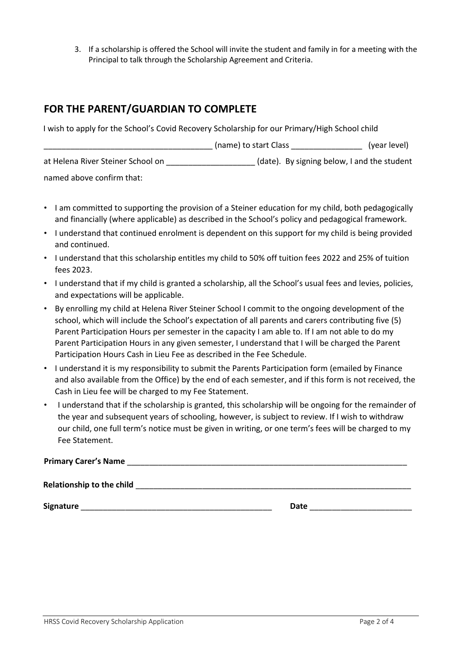3. If a scholarship is offered the School will invite the student and family in for a meeting with the Principal to talk through the Scholarship Agreement and Criteria.

#### **FOR THE PARENT/GUARDIAN TO COMPLETE**

I wish to apply for the School's Covid Recovery Scholarship for our Primary/High School child

|                                   | (name) to start Class                       | (year level) |
|-----------------------------------|---------------------------------------------|--------------|
| at Helena River Steiner School on | (date). By signing below, I and the student |              |
| named above confirm that:         |                                             |              |

- I am committed to supporting the provision of a Steiner education for my child, both pedagogically and financially (where applicable) as described in the School's policy and pedagogical framework.
- I understand that continued enrolment is dependent on this support for my child is being provided and continued.
- I understand that this scholarship entitles my child to 50% off tuition fees 2022 and 25% of tuition fees 2023.
- I understand that if my child is granted a scholarship, all the School's usual fees and levies, policies, and expectations will be applicable.
- By enrolling my child at Helena River Steiner School I commit to the ongoing development of the school, which will include the School's expectation of all parents and carers contributing five (5) Parent Participation Hours per semester in the capacity I am able to. If I am not able to do my Parent Participation Hours in any given semester, I understand that I will be charged the Parent Participation Hours Cash in Lieu Fee as described in the Fee Schedule.
- I understand it is my responsibility to submit the Parents Participation form (emailed by Finance and also available from the Office) by the end of each semester, and if this form is not received, the Cash in Lieu fee will be charged to my Fee Statement.
- I understand that if the scholarship is granted, this scholarship will be ongoing for the remainder of the year and subsequent years of schooling, however, is subject to review. If I wish to withdraw our child, one full term's notice must be given in writing, or one term's fees will be charged to my Fee Statement.

| <b>Primary Carer's Name</b>      |  |  |
|----------------------------------|--|--|
|                                  |  |  |
| <b>Relationship to the child</b> |  |  |

**Signature** \_\_\_\_\_\_\_\_\_\_\_\_\_\_\_\_\_\_\_\_\_\_\_\_\_\_\_\_\_\_\_\_\_\_\_\_\_\_\_\_\_\_\_ **Date** \_\_\_\_\_\_\_\_\_\_\_\_\_\_\_\_\_\_\_\_\_\_\_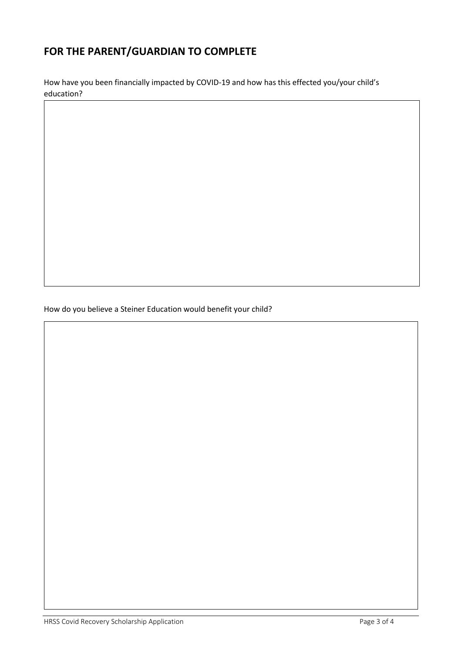### **FOR THE PARENT/GUARDIAN TO COMPLETE**

How have you been financially impacted by COVID-19 and how has this effected you/your child's education?

How do you believe a Steiner Education would benefit your child?